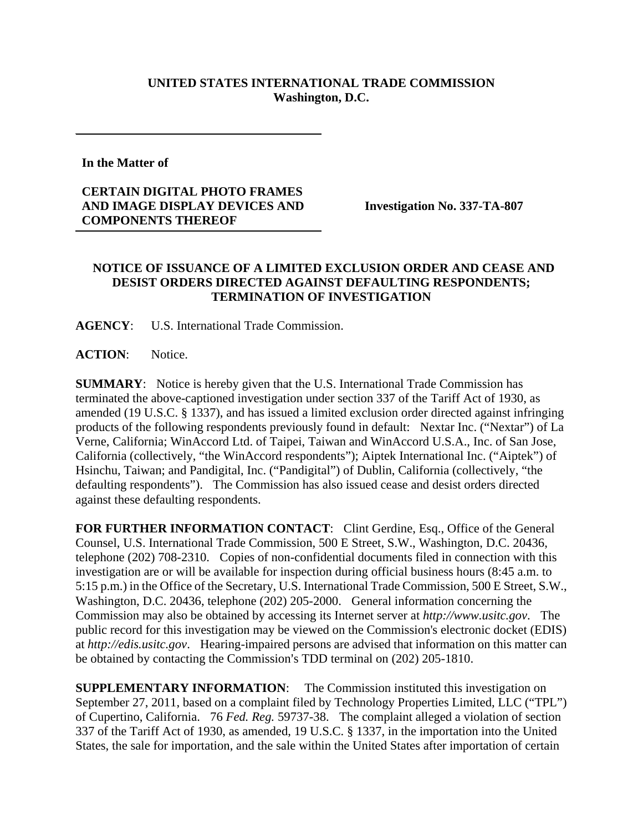## **UNITED STATES INTERNATIONAL TRADE COMMISSION Washington, D.C.**

**In the Matter of** 

## **CERTAIN DIGITAL PHOTO FRAMES AND IMAGE DISPLAY DEVICES AND COMPONENTS THEREOF**

**Investigation No. 337-TA-807** 

## **NOTICE OF ISSUANCE OF A LIMITED EXCLUSION ORDER AND CEASE AND DESIST ORDERS DIRECTED AGAINST DEFAULTING RESPONDENTS; TERMINATION OF INVESTIGATION**

**AGENCY**: U.S. International Trade Commission.

**ACTION**: Notice.

**SUMMARY**: Notice is hereby given that the U.S. International Trade Commission has terminated the above-captioned investigation under section 337 of the Tariff Act of 1930, as amended (19 U.S.C. § 1337), and has issued a limited exclusion order directed against infringing products of the following respondents previously found in default: Nextar Inc. ("Nextar") of La Verne, California; WinAccord Ltd. of Taipei, Taiwan and WinAccord U.S.A., Inc. of San Jose, California (collectively, "the WinAccord respondents"); Aiptek International Inc. ("Aiptek") of Hsinchu, Taiwan; and Pandigital, Inc. ("Pandigital") of Dublin, California (collectively, "the defaulting respondents"). The Commission has also issued cease and desist orders directed against these defaulting respondents.

FOR FURTHER INFORMATION CONTACT: Clint Gerdine, Esq., Office of the General Counsel, U.S. International Trade Commission, 500 E Street, S.W., Washington, D.C. 20436, telephone (202) 708-2310. Copies of non-confidential documents filed in connection with this investigation are or will be available for inspection during official business hours (8:45 a.m. to 5:15 p.m.) in the Office of the Secretary, U.S. International Trade Commission, 500 E Street, S.W., Washington, D.C. 20436, telephone (202) 205-2000. General information concerning the Commission may also be obtained by accessing its Internet server at *http://www.usitc.gov*. The public record for this investigation may be viewed on the Commission's electronic docket (EDIS) at *http://edis.usitc.gov*. Hearing-impaired persons are advised that information on this matter can be obtained by contacting the Commission's TDD terminal on (202) 205-1810.

**SUPPLEMENTARY INFORMATION**: The Commission instituted this investigation on September 27, 2011, based on a complaint filed by Technology Properties Limited, LLC ("TPL") of Cupertino, California. 76 *Fed. Reg.* 59737-38. The complaint alleged a violation of section 337 of the Tariff Act of 1930, as amended, 19 U.S.C. § 1337, in the importation into the United States, the sale for importation, and the sale within the United States after importation of certain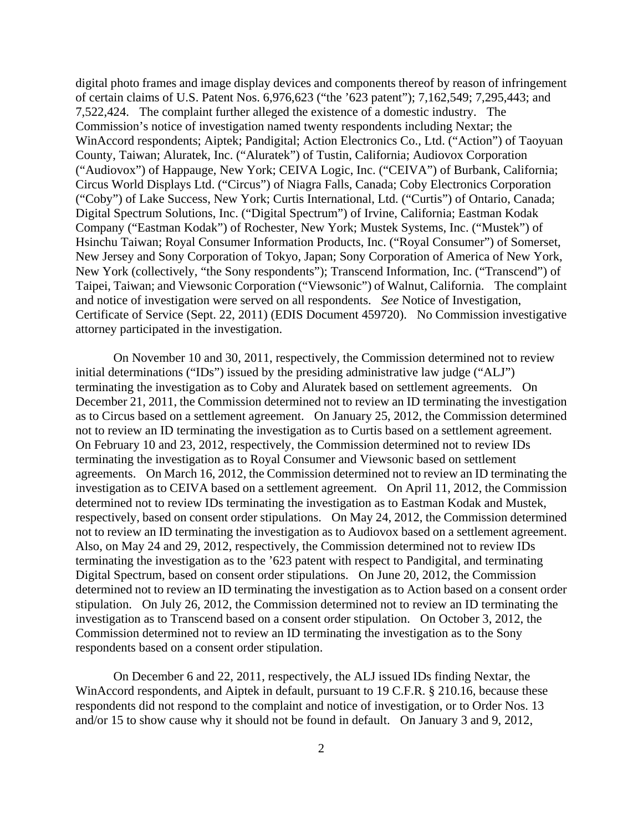digital photo frames and image display devices and components thereof by reason of infringement of certain claims of U.S. Patent Nos. 6,976,623 ("the '623 patent"); 7,162,549; 7,295,443; and 7,522,424. The complaint further alleged the existence of a domestic industry. The Commission's notice of investigation named twenty respondents including Nextar; the WinAccord respondents; Aiptek; Pandigital; Action Electronics Co., Ltd. ("Action") of Taoyuan County, Taiwan; Aluratek, Inc. ("Aluratek") of Tustin, California; Audiovox Corporation ("Audiovox") of Happauge, New York; CEIVA Logic, Inc. ("CEIVA") of Burbank, California; Circus World Displays Ltd. ("Circus") of Niagra Falls, Canada; Coby Electronics Corporation ("Coby") of Lake Success, New York; Curtis International, Ltd. ("Curtis") of Ontario, Canada; Digital Spectrum Solutions, Inc. ("Digital Spectrum") of Irvine, California; Eastman Kodak Company ("Eastman Kodak") of Rochester, New York; Mustek Systems, Inc. ("Mustek") of Hsinchu Taiwan; Royal Consumer Information Products, Inc. ("Royal Consumer") of Somerset, New Jersey and Sony Corporation of Tokyo, Japan; Sony Corporation of America of New York, New York (collectively, "the Sony respondents"); Transcend Information, Inc. ("Transcend") of Taipei, Taiwan; and Viewsonic Corporation ("Viewsonic") of Walnut, California. The complaint and notice of investigation were served on all respondents. *See* Notice of Investigation, Certificate of Service (Sept. 22, 2011) (EDIS Document 459720). No Commission investigative attorney participated in the investigation.

 On November 10 and 30, 2011, respectively, the Commission determined not to review initial determinations ("IDs") issued by the presiding administrative law judge ("ALJ") terminating the investigation as to Coby and Aluratek based on settlement agreements. On December 21, 2011, the Commission determined not to review an ID terminating the investigation as to Circus based on a settlement agreement. On January 25, 2012, the Commission determined not to review an ID terminating the investigation as to Curtis based on a settlement agreement. On February 10 and 23, 2012, respectively, the Commission determined not to review IDs terminating the investigation as to Royal Consumer and Viewsonic based on settlement agreements. On March 16, 2012, the Commission determined not to review an ID terminating the investigation as to CEIVA based on a settlement agreement. On April 11, 2012, the Commission determined not to review IDs terminating the investigation as to Eastman Kodak and Mustek, respectively, based on consent order stipulations. On May 24, 2012, the Commission determined not to review an ID terminating the investigation as to Audiovox based on a settlement agreement. Also, on May 24 and 29, 2012, respectively, the Commission determined not to review IDs terminating the investigation as to the '623 patent with respect to Pandigital, and terminating Digital Spectrum, based on consent order stipulations. On June 20, 2012, the Commission determined not to review an ID terminating the investigation as to Action based on a consent order stipulation. On July 26, 2012, the Commission determined not to review an ID terminating the investigation as to Transcend based on a consent order stipulation. On October 3, 2012, the Commission determined not to review an ID terminating the investigation as to the Sony respondents based on a consent order stipulation.

On December 6 and 22, 2011, respectively, the ALJ issued IDs finding Nextar, the WinAccord respondents, and Aiptek in default, pursuant to 19 C.F.R. § 210.16, because these respondents did not respond to the complaint and notice of investigation, or to Order Nos. 13 and/or 15 to show cause why it should not be found in default. On January 3 and 9, 2012,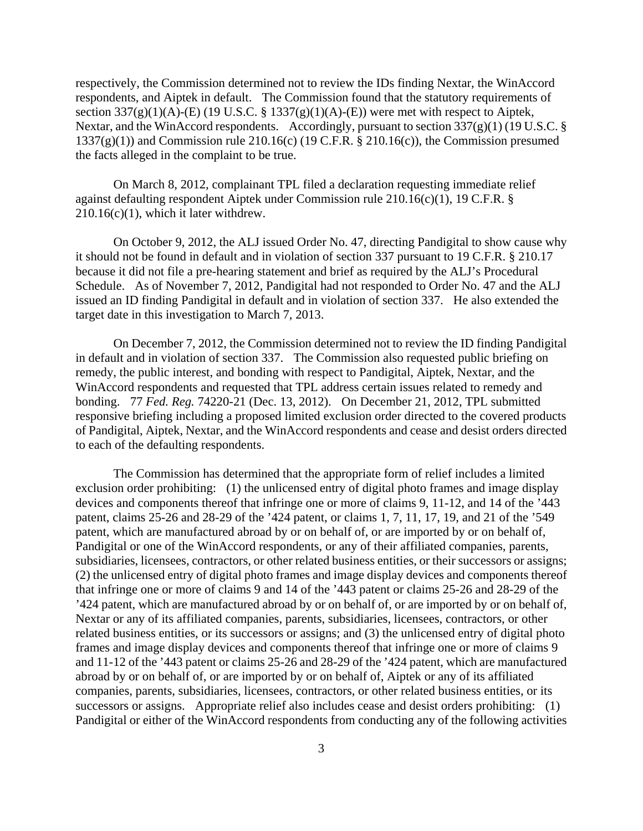respectively, the Commission determined not to review the IDs finding Nextar, the WinAccord respondents, and Aiptek in default. The Commission found that the statutory requirements of section  $337(g)(1)(A)$ -(E) (19 U.S.C. § 1337(g)(1)(A)-(E)) were met with respect to Aiptek, Nextar, and the WinAccord respondents. Accordingly, pursuant to section 337(g)(1) (19 U.S.C. §  $1337(g)(1)$ ) and Commission rule  $210.16(c)$  (19 C.F.R. § 210.16(c)), the Commission presumed the facts alleged in the complaint to be true.

 On March 8, 2012, complainant TPL filed a declaration requesting immediate relief against defaulting respondent Aiptek under Commission rule 210.16(c)(1), 19 C.F.R. §  $210.16(c)(1)$ , which it later withdrew.

On October 9, 2012, the ALJ issued Order No. 47, directing Pandigital to show cause why it should not be found in default and in violation of section 337 pursuant to 19 C.F.R. § 210.17 because it did not file a pre-hearing statement and brief as required by the ALJ's Procedural Schedule. As of November 7, 2012, Pandigital had not responded to Order No. 47 and the ALJ issued an ID finding Pandigital in default and in violation of section 337. He also extended the target date in this investigation to March 7, 2013.

On December 7, 2012, the Commission determined not to review the ID finding Pandigital in default and in violation of section 337. The Commission also requested public briefing on remedy, the public interest, and bonding with respect to Pandigital, Aiptek, Nextar, and the WinAccord respondents and requested that TPL address certain issues related to remedy and bonding. 77 *Fed. Reg.* 74220-21 (Dec. 13, 2012). On December 21, 2012, TPL submitted responsive briefing including a proposed limited exclusion order directed to the covered products of Pandigital, Aiptek, Nextar, and the WinAccord respondents and cease and desist orders directed to each of the defaulting respondents.

The Commission has determined that the appropriate form of relief includes a limited exclusion order prohibiting: (1) the unlicensed entry of digital photo frames and image display devices and components thereof that infringe one or more of claims 9, 11-12, and 14 of the '443 patent, claims 25-26 and 28-29 of the '424 patent, or claims 1, 7, 11, 17, 19, and 21 of the '549 patent, which are manufactured abroad by or on behalf of, or are imported by or on behalf of, Pandigital or one of the WinAccord respondents, or any of their affiliated companies, parents, subsidiaries, licensees, contractors, or other related business entities, or their successors or assigns; (2) the unlicensed entry of digital photo frames and image display devices and components thereof that infringe one or more of claims 9 and 14 of the '443 patent or claims 25-26 and 28-29 of the '424 patent, which are manufactured abroad by or on behalf of, or are imported by or on behalf of, Nextar or any of its affiliated companies, parents, subsidiaries, licensees, contractors, or other related business entities, or its successors or assigns; and (3) the unlicensed entry of digital photo frames and image display devices and components thereof that infringe one or more of claims 9 and 11-12 of the '443 patent or claims 25-26 and 28-29 of the '424 patent, which are manufactured abroad by or on behalf of, or are imported by or on behalf of, Aiptek or any of its affiliated companies, parents, subsidiaries, licensees, contractors, or other related business entities, or its successors or assigns. Appropriate relief also includes cease and desist orders prohibiting: (1) Pandigital or either of the WinAccord respondents from conducting any of the following activities